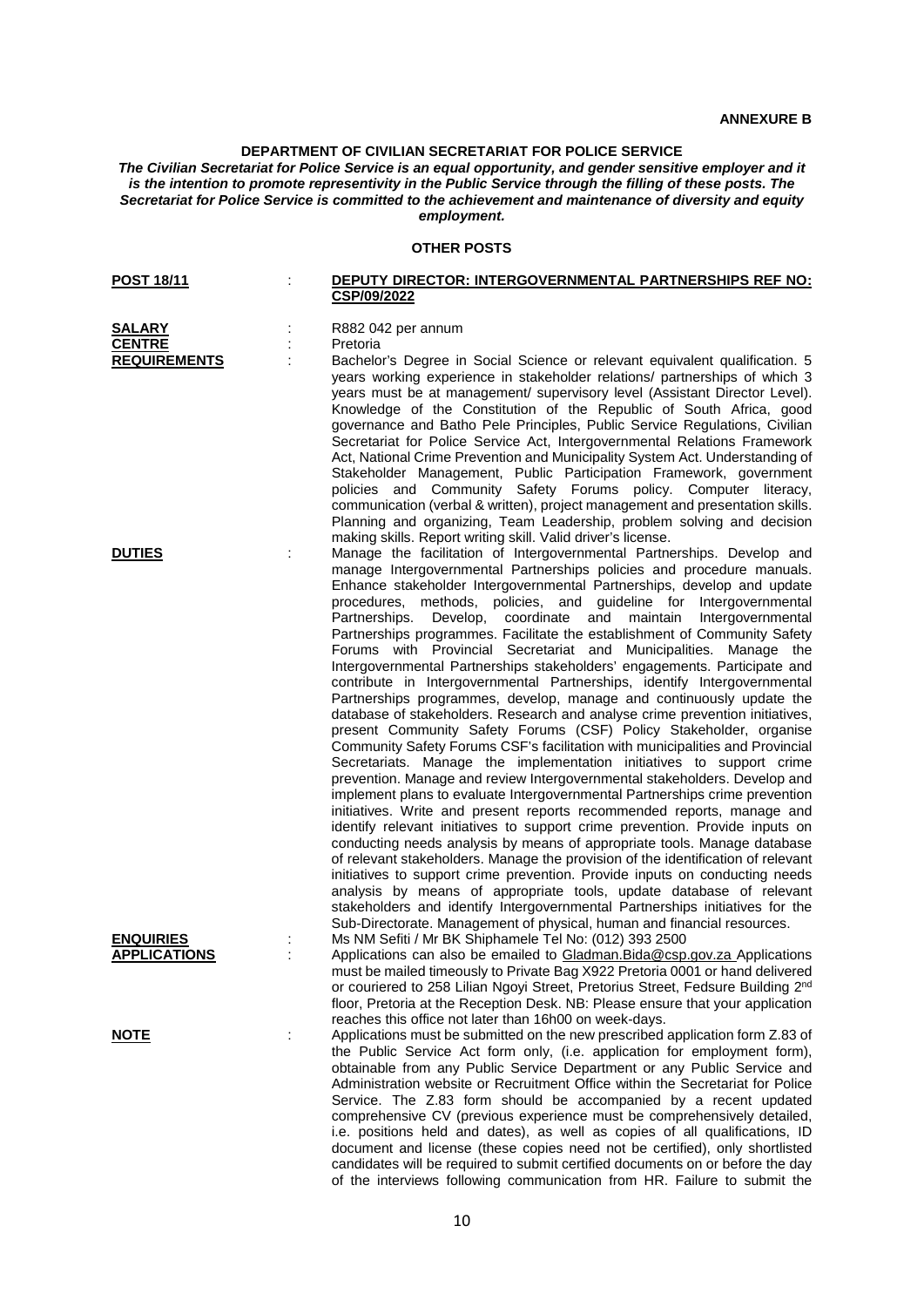## **DEPARTMENT OF CIVILIAN SECRETARIAT FOR POLICE SERVICE**

*The Civilian Secretariat for Police Service is an equal opportunity, and gender sensitive employer and it is the intention to promote representivity in the Public Service through the filling of these posts. The Secretariat for Police Service is committed to the achievement and maintenance of diversity and equity employment.*

## **OTHER POSTS**

| <b>POST 18/11</b>                       |   | DEPUTY DIRECTOR: INTERGOVERNMENTAL PARTNERSHIPS REF NO:<br>CSP/09/2022                                                                                                                                                                                                                                                                                                                                                                                                                                                                                                                                                                                                                                                                                                                                                                                                                                                                                                                                                                                                                                                                                                                                                                                                                                                                                                                                                                                                                                                                                                                                                                                                                                                                                                                                                                                                                                                                          |  |
|-----------------------------------------|---|-------------------------------------------------------------------------------------------------------------------------------------------------------------------------------------------------------------------------------------------------------------------------------------------------------------------------------------------------------------------------------------------------------------------------------------------------------------------------------------------------------------------------------------------------------------------------------------------------------------------------------------------------------------------------------------------------------------------------------------------------------------------------------------------------------------------------------------------------------------------------------------------------------------------------------------------------------------------------------------------------------------------------------------------------------------------------------------------------------------------------------------------------------------------------------------------------------------------------------------------------------------------------------------------------------------------------------------------------------------------------------------------------------------------------------------------------------------------------------------------------------------------------------------------------------------------------------------------------------------------------------------------------------------------------------------------------------------------------------------------------------------------------------------------------------------------------------------------------------------------------------------------------------------------------------------------------|--|
| <b>SALARY</b><br><b>CENTRE</b>          |   | R882 042 per annum<br>Pretoria                                                                                                                                                                                                                                                                                                                                                                                                                                                                                                                                                                                                                                                                                                                                                                                                                                                                                                                                                                                                                                                                                                                                                                                                                                                                                                                                                                                                                                                                                                                                                                                                                                                                                                                                                                                                                                                                                                                  |  |
| <b>REQUIREMENTS</b>                     |   | Bachelor's Degree in Social Science or relevant equivalent qualification. 5<br>years working experience in stakeholder relations/ partnerships of which 3<br>years must be at management/ supervisory level (Assistant Director Level).<br>Knowledge of the Constitution of the Republic of South Africa, good<br>governance and Batho Pele Principles, Public Service Regulations, Civilian<br>Secretariat for Police Service Act, Intergovernmental Relations Framework<br>Act, National Crime Prevention and Municipality System Act. Understanding of<br>Stakeholder Management, Public Participation Framework, government<br>policies and Community Safety Forums policy. Computer literacy,<br>communication (verbal & written), project management and presentation skills.<br>Planning and organizing, Team Leadership, problem solving and decision                                                                                                                                                                                                                                                                                                                                                                                                                                                                                                                                                                                                                                                                                                                                                                                                                                                                                                                                                                                                                                                                                   |  |
| <b>DUTIES</b>                           |   | making skills. Report writing skill. Valid driver's license.<br>Manage the facilitation of Intergovernmental Partnerships. Develop and<br>manage Intergovernmental Partnerships policies and procedure manuals.<br>Enhance stakeholder Intergovernmental Partnerships, develop and update<br>procedures, methods, policies, and guideline for Intergovernmental<br>Develop, coordinate and maintain Intergovernmental<br>Partnerships.<br>Partnerships programmes. Facilitate the establishment of Community Safety<br>Forums with Provincial Secretariat and Municipalities. Manage the<br>Intergovernmental Partnerships stakeholders' engagements. Participate and<br>contribute in Intergovernmental Partnerships, identify Intergovernmental<br>Partnerships programmes, develop, manage and continuously update the<br>database of stakeholders. Research and analyse crime prevention initiatives,<br>present Community Safety Forums (CSF) Policy Stakeholder, organise<br>Community Safety Forums CSF's facilitation with municipalities and Provincial<br>Secretariats. Manage the implementation initiatives to support crime<br>prevention. Manage and review Intergovernmental stakeholders. Develop and<br>implement plans to evaluate Intergovernmental Partnerships crime prevention<br>initiatives. Write and present reports recommended reports, manage and<br>identify relevant initiatives to support crime prevention. Provide inputs on<br>conducting needs analysis by means of appropriate tools. Manage database<br>of relevant stakeholders. Manage the provision of the identification of relevant<br>initiatives to support crime prevention. Provide inputs on conducting needs<br>analysis by means of appropriate tools, update database of relevant<br>stakeholders and identify Intergovernmental Partnerships initiatives for the<br>Sub-Directorate. Management of physical, human and financial resources. |  |
| <b>ENQUIRIES</b><br><b>APPLICATIONS</b> |   | Ms NM Sefiti / Mr BK Shiphamele Tel No: (012) 393 2500<br>Applications can also be emailed to Gladman. Bida@csp.gov.za Applications<br>must be mailed timeously to Private Bag X922 Pretoria 0001 or hand delivered<br>or couriered to 258 Lilian Ngoyi Street, Pretorius Street, Fedsure Building 2nd<br>floor, Pretoria at the Reception Desk. NB: Please ensure that your application<br>reaches this office not later than 16h00 on week-days.                                                                                                                                                                                                                                                                                                                                                                                                                                                                                                                                                                                                                                                                                                                                                                                                                                                                                                                                                                                                                                                                                                                                                                                                                                                                                                                                                                                                                                                                                              |  |
| <u>NOTE</u>                             | ÷ | Applications must be submitted on the new prescribed application form Z.83 of<br>the Public Service Act form only, (i.e. application for employment form),<br>obtainable from any Public Service Department or any Public Service and<br>Administration website or Recruitment Office within the Secretariat for Police<br>Service. The Z.83 form should be accompanied by a recent updated<br>comprehensive CV (previous experience must be comprehensively detailed,<br>i.e. positions held and dates), as well as copies of all qualifications, ID<br>document and license (these copies need not be certified), only shortlisted<br>candidates will be required to submit certified documents on or before the day                                                                                                                                                                                                                                                                                                                                                                                                                                                                                                                                                                                                                                                                                                                                                                                                                                                                                                                                                                                                                                                                                                                                                                                                                          |  |

of the interviews following communication from HR. Failure to submit the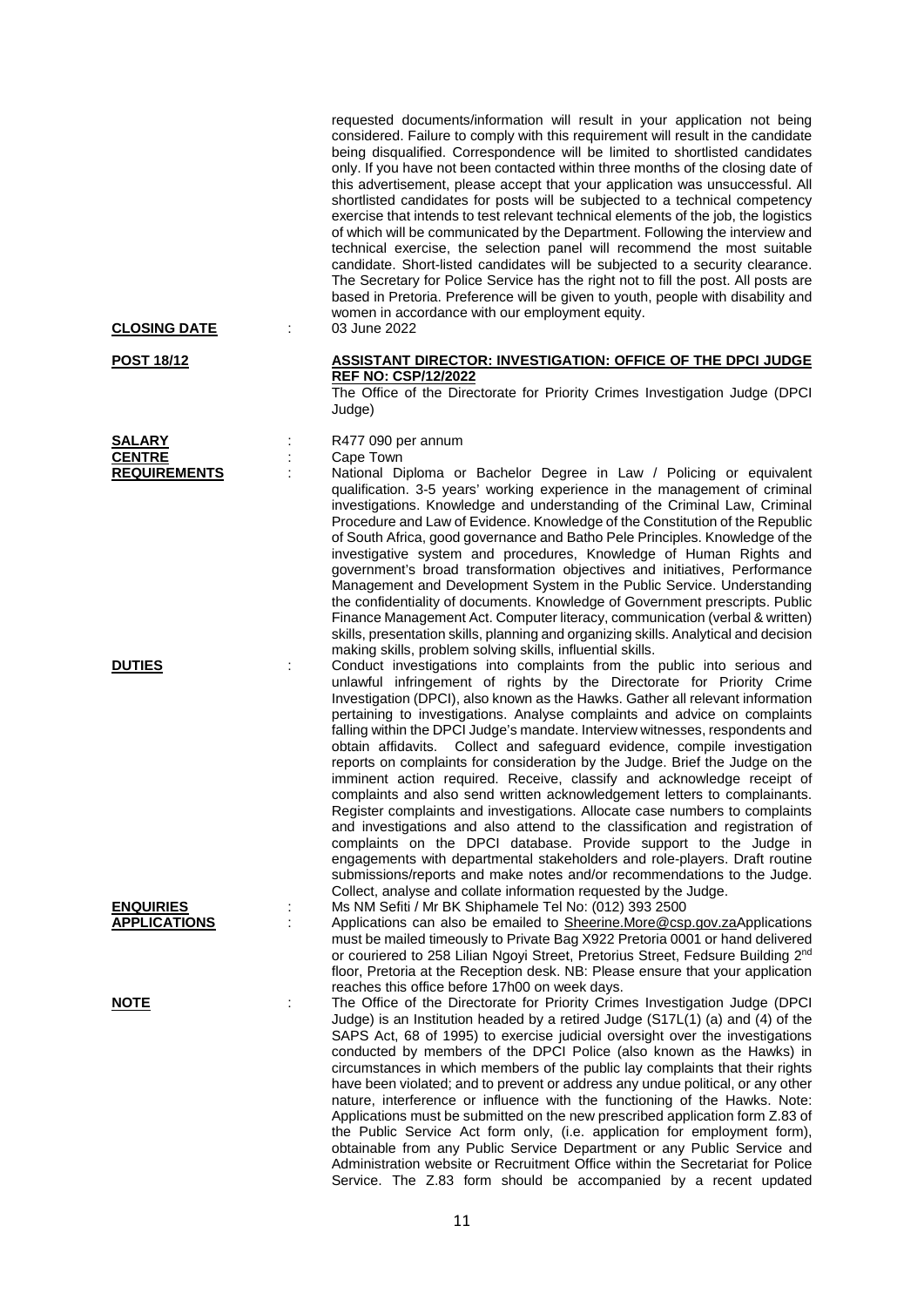requested documents/information will result in your application not being considered. Failure to comply with this requirement will result in the candidate being disqualified. Correspondence will be limited to shortlisted candidates only. If you have not been contacted within three months of the closing date of this advertisement, please accept that your application was unsuccessful. All shortlisted candidates for posts will be subjected to a technical competency exercise that intends to test relevant technical elements of the job, the logistics of which will be communicated by the Department. Following the interview and technical exercise, the selection panel will recommend the most suitable candidate. Short-listed candidates will be subjected to a security clearance. The Secretary for Police Service has the right not to fill the post. All posts are based in Pretoria. Preference will be given to youth, people with disability and women in accordance with our employment equity.<br>03 June 2022

#### **POST 18/12 ASSISTANT DIRECTOR: INVESTIGATION: OFFICE OF THE DPCI JUDGE REF NO: CSP/12/2022**

The Office of the Directorate for Priority Crimes Investigation Judge (DPCI Judge)

**SALARY** : R477 090 per annum

: Cape Town

National Diploma or Bachelor Degree in Law / Policing or equivalent qualification. 3-5 years' working experience in the management of criminal investigations. Knowledge and understanding of the Criminal Law, Criminal Procedure and Law of Evidence. Knowledge of the Constitution of the Republic of South Africa, good governance and Batho Pele Principles. Knowledge of the investigative system and procedures, Knowledge of Human Rights and government's broad transformation objectives and initiatives, Performance Management and Development System in the Public Service. Understanding the confidentiality of documents. Knowledge of Government prescripts. Public Finance Management Act. Computer literacy, communication (verbal & written) skills, presentation skills, planning and organizing skills. Analytical and decision making skills, problem solving skills, influential skills.

**DUTIES** : Conduct investigations into complaints from the public into serious and unlawful infringement of rights by the Directorate for Priority Crime Investigation (DPCI), also known as the Hawks. Gather all relevant information pertaining to investigations. Analyse complaints and advice on complaints falling within the DPCI Judge's mandate. Interview witnesses, respondents and obtain affidavits. Collect and safeguard evidence, compile investigation reports on complaints for consideration by the Judge. Brief the Judge on the imminent action required. Receive, classify and acknowledge receipt of complaints and also send written acknowledgement letters to complainants. Register complaints and investigations. Allocate case numbers to complaints and investigations and also attend to the classification and registration of complaints on the DPCI database. Provide support to the Judge in engagements with departmental stakeholders and role-players. Draft routine submissions/reports and make notes and/or recommendations to the Judge. Collect, analyse and collate information requested by the Judge.

**ENQUIRIES** : Ms NM Sefiti / Mr BK Shiphamele Tel No: (012) 393 2500 Applications can also be emailed to [Sheerine.More@csp.gov.zaA](mailto:Sheerine.More@csp.gov.za)pplications must be mailed timeously to Private Bag X922 Pretoria 0001 or hand delivered or couriered to 258 Lilian Ngoyi Street, Pretorius Street, Fedsure Building 2<sup>nd</sup> floor, Pretoria at the Reception desk. NB: Please ensure that your application reaches this office before 17h00 on week days.

**NOTE** : The Office of the Directorate for Priority Crimes Investigation Judge (DPCI) Judge) is an Institution headed by a retired Judge (S17L(1) (a) and (4) of the SAPS Act, 68 of 1995) to exercise judicial oversight over the investigations conducted by members of the DPCI Police (also known as the Hawks) in circumstances in which members of the public lay complaints that their rights have been violated; and to prevent or address any undue political, or any other nature, interference or influence with the functioning of the Hawks. Note: Applications must be submitted on the new prescribed application form Z.83 of the Public Service Act form only, (i.e. application for employment form), obtainable from any Public Service Department or any Public Service and Administration website or Recruitment Office within the Secretariat for Police Service. The Z.83 form should be accompanied by a recent updated

**CLOSING DATE** :

| <b>SALARY</b>       |
|---------------------|
| <b>CENTRE</b>       |
| <b>REQUIREMENTS</b> |

11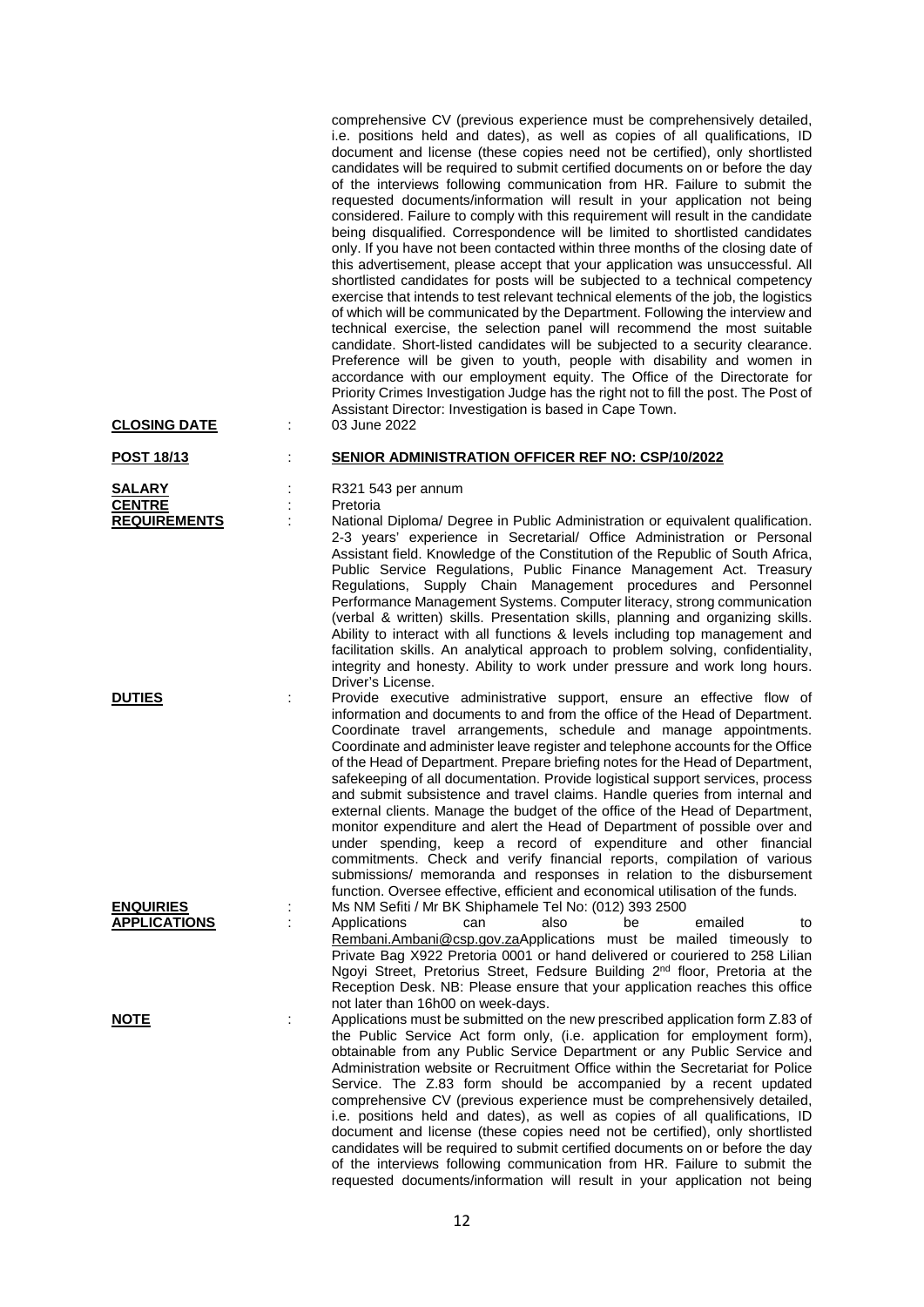comprehensive CV (previous experience must be comprehensively detailed, i.e. positions held and dates), as well as copies of all qualifications, ID document and license (these copies need not be certified), only shortlisted candidates will be required to submit certified documents on or before the day of the interviews following communication from HR. Failure to submit the requested documents/information will result in your application not being considered. Failure to comply with this requirement will result in the candidate being disqualified. Correspondence will be limited to shortlisted candidates only. If you have not been contacted within three months of the closing date of this advertisement, please accept that your application was unsuccessful. All shortlisted candidates for posts will be subjected to a technical competency exercise that intends to test relevant technical elements of the job, the logistics of which will be communicated by the Department. Following the interview and technical exercise, the selection panel will recommend the most suitable candidate. Short-listed candidates will be subjected to a security clearance. Preference will be given to youth, people with disability and women in accordance with our employment equity. The Office of the Directorate for Priority Crimes Investigation Judge has the right not to fill the post. The Post of Assistant Director: Investigation is based in Cape Town.

#### **POST 18/13** : **SENIOR ADMINISTRATION OFFICER REF NO: CSP/10/2022**

**SALARY** : R321 543 per annum

**CENTRE** : Pretoria

**REQUIREM REQUIRE IS NATIONAL DEGRIPT** Diploma/ Degree in Public Administration or equivalent qualification. 2-3 years' experience in Secretarial/ Office Administration or Personal Assistant field. Knowledge of the Constitution of the Republic of South Africa, Public Service Regulations, Public Finance Management Act. Treasury Regulations, Supply Chain Management procedures and Personnel Performance Management Systems. Computer literacy, strong communication (verbal & written) skills. Presentation skills, planning and organizing skills. Ability to interact with all functions & levels including top management and facilitation skills. An analytical approach to problem solving, confidentiality, integrity and honesty. Ability to work under pressure and work long hours. Driver's License.

**DUTIES** : Provide executive administrative support, ensure an effective flow of information and documents to and from the office of the Head of Department. Coordinate travel arrangements, schedule and manage appointments. Coordinate and administer leave register and telephone accounts for the Office of the Head of Department. Prepare briefing notes for the Head of Department, safekeeping of all documentation. Provide logistical support services, process and submit subsistence and travel claims. Handle queries from internal and external clients. Manage the budget of the office of the Head of Department, monitor expenditure and alert the Head of Department of possible over and under spending, keep a record of expenditure and other financial commitments. Check and verify financial reports, compilation of various submissions/ memoranda and responses in relation to the disbursement function. Oversee effective, efficient and economical utilisation of the funds.

**ENQUIRIES** : Ms NM Sefiti / Mr BK Shiphamele Tel No: (012) 393 2500 **APPLICATIONS** : Applications can also be emailed to [Rembani.Ambani@csp.gov.zaA](mailto:Rembani.Ambani@csp.gov.za)pplications must be mailed timeously to Private Bag X922 Pretoria 0001 or hand delivered or couriered to 258 Lilian Ngoyi Street, Pretorius Street, Fedsure Building 2<sup>nd</sup> floor, Pretoria at the Reception Desk. NB: Please ensure that your application reaches this office not later than 16h00 on week-days.

**NOTE** : Applications must be submitted on the new prescribed application form Z.83 of the Public Service Act form only, (i.e. application for employment form), obtainable from any Public Service Department or any Public Service and Administration website or Recruitment Office within the Secretariat for Police Service. The Z.83 form should be accompanied by a recent updated comprehensive CV (previous experience must be comprehensively detailed, i.e. positions held and dates), as well as copies of all qualifications, ID document and license (these copies need not be certified), only shortlisted candidates will be required to submit certified documents on or before the day of the interviews following communication from HR. Failure to submit the requested documents/information will result in your application not being

**CLOSING DATE** :

| <b>SALARY</b>       |
|---------------------|
| <b>CENTRE</b>       |
| <b>REQUIREMENTS</b> |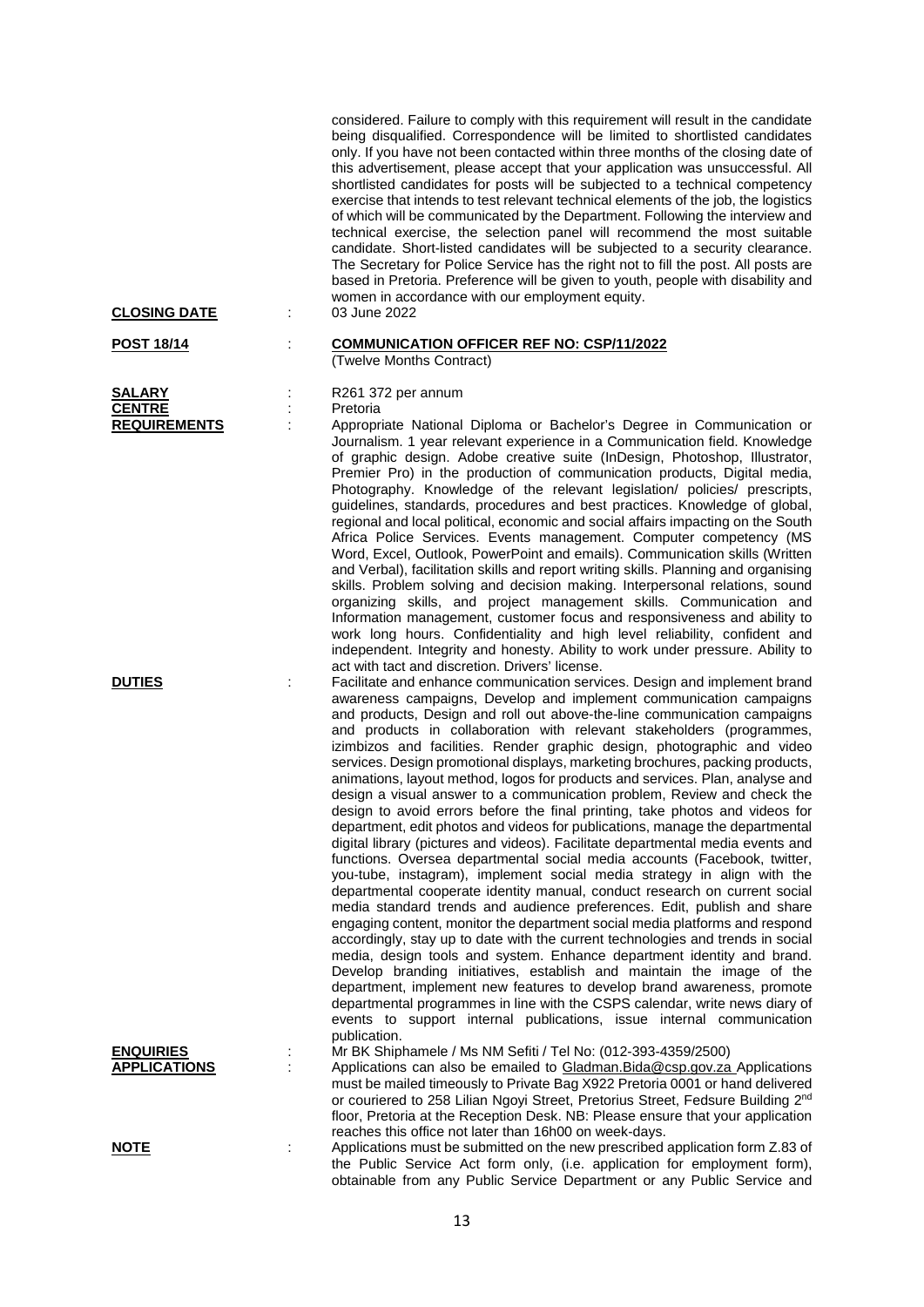considered. Failure to comply with this requirement will result in the candidate being disqualified. Correspondence will be limited to shortlisted candidates only. If you have not been contacted within three months of the closing date of this advertisement, please accept that your application was unsuccessful. All shortlisted candidates for posts will be subjected to a technical competency exercise that intends to test relevant technical elements of the job, the logistics of which will be communicated by the Department. Following the interview and technical exercise, the selection panel will recommend the most suitable candidate. Short-listed candidates will be subjected to a security clearance. The Secretary for Police Service has the right not to fill the post. All posts are based in Pretoria. Preference will be given to youth, people with disability and women in accordance with our employment equity.

## **CLOSING DATE** :

**POST 18/14** : **COMMUNICATION OFFICER REF NO: CSP/11/2022**

# (Twelve Months Contract)

**SALARY** : R261 372 per annum

**CENTRE** : Pretoria<br> **REQUIREMENTS** : Appropr

Appropriate National Diploma or Bachelor's Degree in Communication or Journalism. 1 year relevant experience in a Communication field. Knowledge of graphic design. Adobe creative suite (InDesign, Photoshop, Illustrator, Premier Pro) in the production of communication products, Digital media, Photography. Knowledge of the relevant legislation/ policies/ prescripts, guidelines, standards, procedures and best practices. Knowledge of global, regional and local political, economic and social affairs impacting on the South Africa Police Services. Events management. Computer competency (MS Word, Excel, Outlook, PowerPoint and emails). Communication skills (Written and Verbal), facilitation skills and report writing skills. Planning and organising skills. Problem solving and decision making. Interpersonal relations, sound organizing skills, and project management skills. Communication and Information management, customer focus and responsiveness and ability to work long hours. Confidentiality and high level reliability, confident and independent. Integrity and honesty. Ability to work under pressure. Ability to act with tact and discretion. Drivers' license.

**DUTIES** : Facilitate and enhance communication services. Design and implement brand awareness campaigns, Develop and implement communication campaigns and products, Design and roll out above-the-line communication campaigns and products in collaboration with relevant stakeholders (programmes, izimbizos and facilities. Render graphic design, photographic and video services. Design promotional displays, marketing brochures, packing products, animations, layout method, logos for products and services. Plan, analyse and design a visual answer to a communication problem, Review and check the design to avoid errors before the final printing, take photos and videos for department, edit photos and videos for publications, manage the departmental digital library (pictures and videos). Facilitate departmental media events and functions. Oversea departmental social media accounts (Facebook, twitter, you-tube, instagram), implement social media strategy in align with the departmental cooperate identity manual, conduct research on current social media standard trends and audience preferences. Edit, publish and share engaging content, monitor the department social media platforms and respond accordingly, stay up to date with the current technologies and trends in social media, design tools and system. Enhance department identity and brand. Develop branding initiatives, establish and maintain the image of the department, implement new features to develop brand awareness, promote departmental programmes in line with the CSPS calendar, write news diary of events to support internal publications, issue internal communication publication.

**ENQUIRIES** : Mr BK Shiphamele / Ms NM Sefiti / Tel No: (012-393-4359/2500)<br>**APPLICATIONS** : Applications can also be emailed to Gladman Bida@csp.gov.za

Applications can also be emailed to [Gladman.Bida@csp.gov.za](mailto:Gladman.Bida@csp.gov.za) Applications must be mailed timeously to Private Bag X922 Pretoria 0001 or hand delivered or couriered to 258 Lilian Ngoyi Street, Pretorius Street, Fedsure Building 2<sup>nd</sup> floor, Pretoria at the Reception Desk. NB: Please ensure that your application reaches this office not later than 16h00 on week-days.

Applications must be submitted on the new prescribed application form Z.83 of the Public Service Act form only, (i.e. application for employment form), obtainable from any Public Service Department or any Public Service and